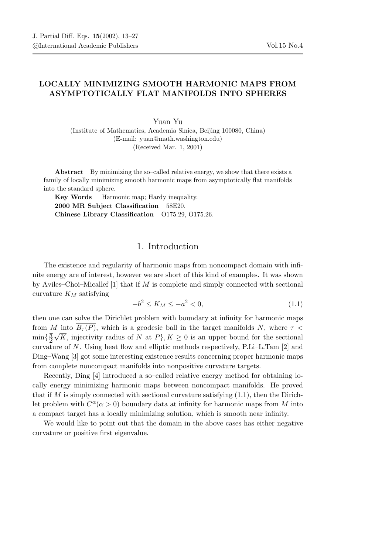## LOCALLY MINIMIZING SMOOTH HARMONIC MAPS FROM ASYMPTOTICALLY FLAT MANIFOLDS INTO SPHERES

Yuan Yu (Institute of Mathematics, Academia Sinica, Beijing 100080, China) (E-mail: yuan@math.washington.edu) (Received Mar. 1, 2001)

Abstract By minimizing the so–called relative energy, we show that there exists a family of locally minimizing smooth harmonic maps from asymptotically flat manifolds into the standard sphere.

Key Words Harmonic map; Hardy inequality. 2000 MR Subject Classification 58E20. Chinese Library Classification O175.29, O175.26.

## 1. Introduction

The existence and regularity of harmonic maps from noncompact domain with infinite energy are of interest, however we are short of this kind of examples. It was shown by Aviles–Choi–Micallef [1] that if M is complete and simply connected with sectional curvature  $K_M$  satisfying

$$
-b^2 \le K_M \le -a^2 < 0,\tag{1.1}
$$

then one can solve the Dirichlet problem with boundary at infinity for harmonic maps from M into  $B_{\tau}(P)$ , which is a geodesic ball in the target manifolds N, where  $\tau$  <  $\min\{\frac{\pi}{2}$  $\frac{\pi}{2} \sqrt{K}$ , injectivity radius of N at  $P$ ,  $K \geq 0$  is an upper bound for the sectional curvature of N. Using heat flow and elliptic methods respectively,  $P.Li-L.Tam$  [2] and Ding–Wang [3] got some interesting existence results concerning proper harmonic maps from complete noncompact manifolds into nonpositive curvature targets.

Recently, Ding [4] introduced a so–called relative energy method for obtaining locally energy minimizing harmonic maps between noncompact manifolds. He proved that if M is simply connected with sectional curvature satisfying  $(1.1)$ , then the Dirichlet problem with  $C^{\alpha}(\alpha > 0)$  boundary data at infinity for harmonic maps from M into a compact target has a locally minimizing solution, which is smooth near infinity.

We would like to point out that the domain in the above cases has either negative curvature or positive first eigenvalue.